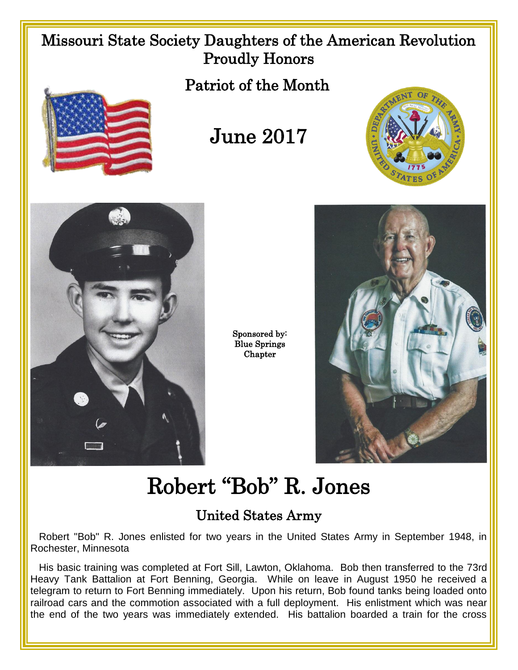## Missouri State Society Daughters of the American Revolution Proudly Honors

Patriot of the Month



## June 2017





Sponsored by: Blue Springs Chapter



## Robert "Bob" R. Jones

## United States Army

Robert "Bob" R. Jones enlisted for two years in the United States Army in September 1948, in Rochester, Minnesota

His basic training was completed at Fort Sill, Lawton, Oklahoma. Bob then transferred to the 73rd Heavy Tank Battalion at Fort Benning, Georgia. While on leave in August 1950 he received a telegram to return to Fort Benning immediately. Upon his return, Bob found tanks being loaded onto railroad cars and the commotion associated with a full deployment. His enlistment which was near the end of the two years was immediately extended. His battalion boarded a train for the cross